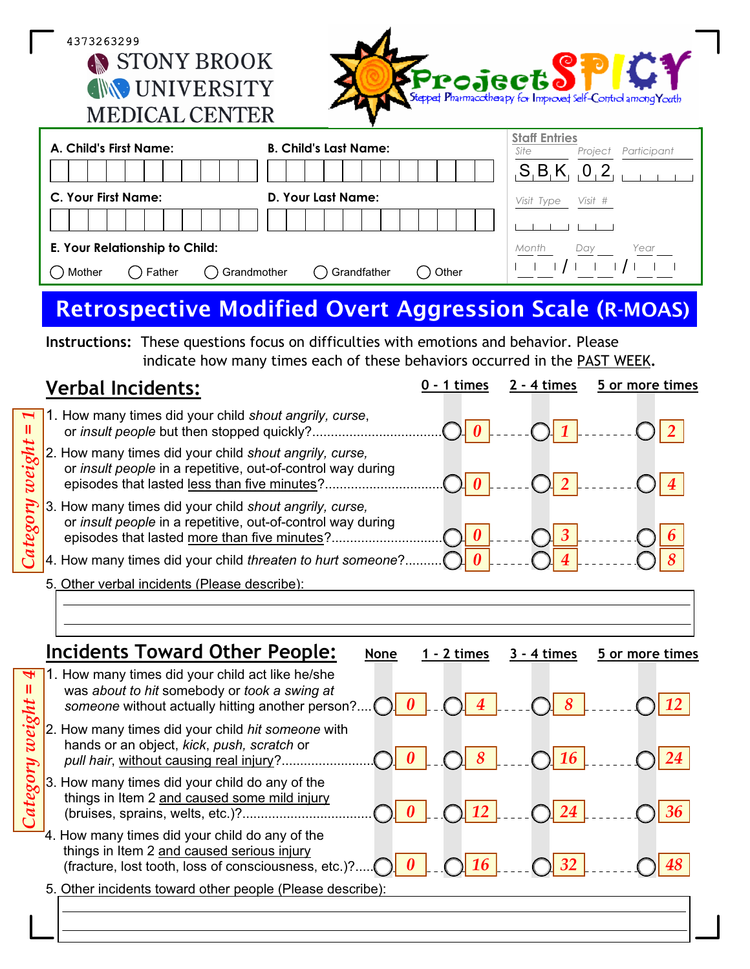4373263299 STONY BROOK **INVERSITY** MEDICAL CENTER



| A. Child's First Name:                              | <b>B. Child's Last Name:</b>   | <b>Staff Entries</b><br>Site<br>Participant<br>Project |
|-----------------------------------------------------|--------------------------------|--------------------------------------------------------|
|                                                     |                                | $S$ B K 0.2                                            |
| <b>C. Your First Name:</b>                          | D. Your Last Name:             | Visit #<br>Visit Type                                  |
|                                                     |                                |                                                        |
| E. Your Relationship to Child:                      | Month<br>Year<br>Day           |                                                        |
| $\bigcap$ Grandmother<br>$\bigcap$ Father<br>Mother | $\bigcap$ Grandfather<br>Other |                                                        |

## **Retrospective Modified Overt Aggression Scale (R-MOAS)**

**Instructions:** These questions focus on difficulties with emotions and behavior. Please indicate how many times each of these behaviors occurred in the PAST WEEK**.**

|        | <b>Verbal Incidents:</b>                                                                                                                                              | $2 - 4$ times | 5 or more times |
|--------|-----------------------------------------------------------------------------------------------------------------------------------------------------------------------|---------------|-----------------|
|        | $\lceil \cdot \rceil$ 1. How many times did your child shout angrily, curse,<br>or insult people but then stopped quickly?                                            |               |                 |
| weight | 2. How many times did your child shout angrily, curse,<br>or insult people in a repetitive, out-of-control way during<br>episodes that lasted less than five minutes? |               |                 |
|        | 3. How many times did your child shout angrily, curse,<br>or insult people in a repetitive, out-of-control way during<br>episodes that lasted more than five minutes? |               |                 |
|        | 4. How many times did your child threaten to hurt someone?.                                                                                                           |               |                 |
|        | 5. Other verbal incidents (Please describe):                                                                                                                          |               |                 |

|   | <b>Incidents Toward Other People:</b><br>5 or more times<br><b>None</b><br>1 - 2 times<br>3 - 4 times                                                                                   |
|---|-----------------------------------------------------------------------------------------------------------------------------------------------------------------------------------------|
| ₩ | 1. How many times did your child act like he/she<br>was about to hit somebody or took a swing at<br>8<br>$\overline{4}$<br>someone without actually hitting another person?             |
| 2 | 2. How many times did your child hit someone with<br>hands or an object, kick, push, scratch or<br>181<br>$\sqrt{16}$<br>pull hair, without causing real injury?                        |
|   | 3. How many times did your child do any of the<br>things in Item 2 and caused some mild injury<br>12<br>24<br>(bruises, sprains, welts, etc.)?                                          |
|   | 4. How many times did your child do any of the<br>things in Item 2 and caused serious injury<br>16 <sup>1</sup><br>$\bigcap$ 32<br>(fracture, lost tooth, loss of consciousness, etc.)? |
|   | 5. Other incidents toward other people (Please describe):                                                                                                                               |
|   |                                                                                                                                                                                         |